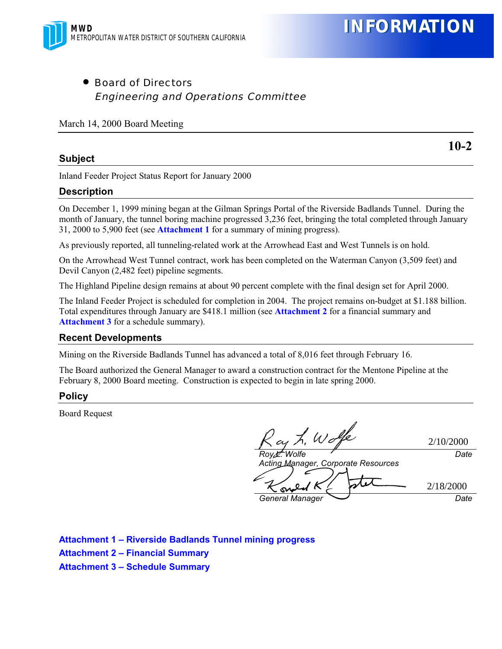

• Board of Directors Engineering and Operations Committee

March 14, 2000 Board Meeting

#### **Subject**

**10-2**

Inland Feeder Project Status Report for January 2000

### **Description**

On December 1, 1999 mining began at the Gilman Springs Portal of the Riverside Badlands Tunnel. During the month of January, the tunnel boring machine progressed 3,236 feet, bringing the total completed through January 31, 2000 to 5,900 feet (see **Attachment 1** for a summary of mining progress).

As previously reported, all tunneling-related work at the Arrowhead East and West Tunnels is on hold.

On the Arrowhead West Tunnel contract, work has been completed on the Waterman Canyon (3,509 feet) and Devil Canyon (2,482 feet) pipeline segments.

The Highland Pipeline design remains at about 90 percent complete with the final design set for April 2000.

The Inland Feeder Project is scheduled for completion in 2004. The project remains on-budget at \$1.188 billion. Total expenditures through January are \$418.1 million (see **Attachment 2** for a financial summary and **Attachment 3** for a schedule summary).

### **Recent Developments**

Mining on the Riverside Badlands Tunnel has advanced a total of 8,016 feet through February 16.

The Board authorized the General Manager to award a construction contract for the Mentone Pipeline at the February 8, 2000 Board meeting. Construction is expected to begin in late spring 2000.

### **Policy**

Board Request

*Roy L. Wolfe Acting Manager, Corporate Resources Date General Manager Date* 2/10/2000 2/18/2000

**Attachment 1 – Riverside Badlands Tunnel mining progress Attachment 2 – Financial Summary Attachment 3 – Schedule Summary**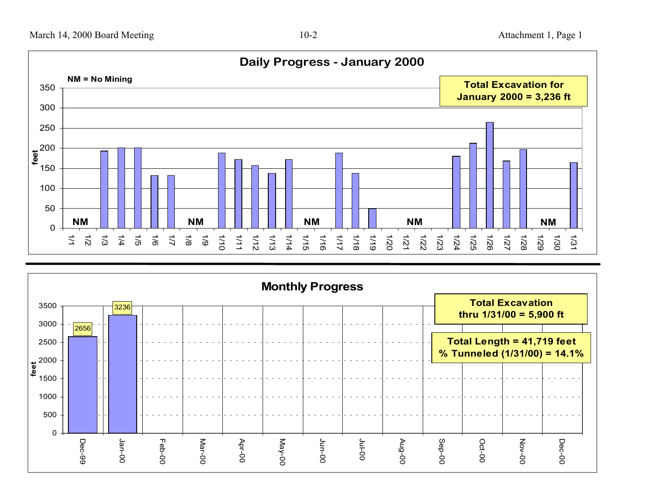

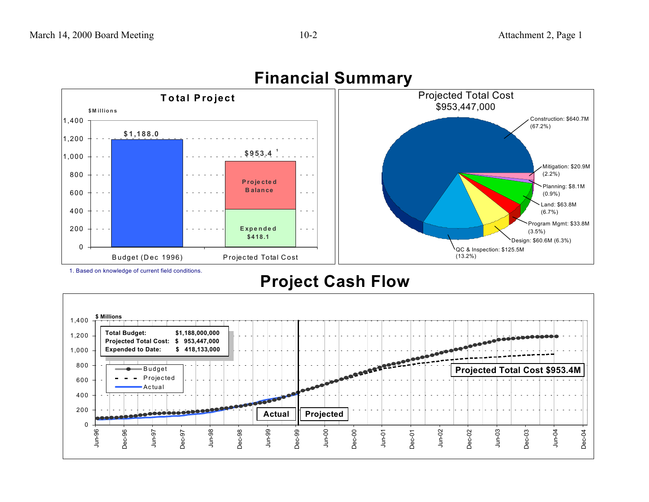

## **Financial Summary**